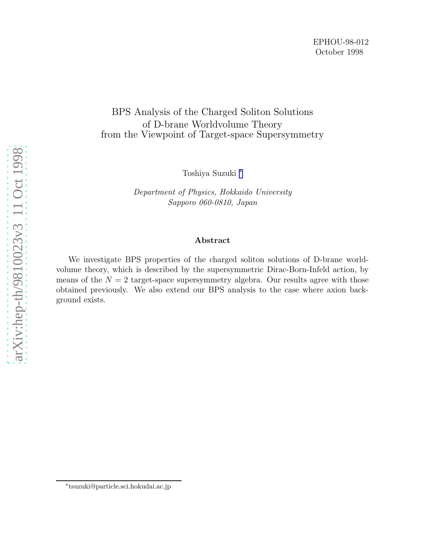# BPS Analysis of the Charged Soliton Solutions of D-brane Worldvolume Theory from the Viewpoint of Target-space Supersymmetry

Toshiya Suzuki ∗

Department of Physics, Hokkaido University Sapporo 060-0810, Japan

#### Abstract

We investigate BPS properties of the charged soliton solutions of D-brane worldvolume theory, which is described by the supersymmetric Dirac-Born-Infeld action, by means of the  $N = 2$  target-space supersymmetry algebra. Our results agree with those obtained previously. We also extend our BPS analysis to the case where axion background exists.

<sup>∗</sup> tsuzuki@particle.sci.hokudai.ac.jp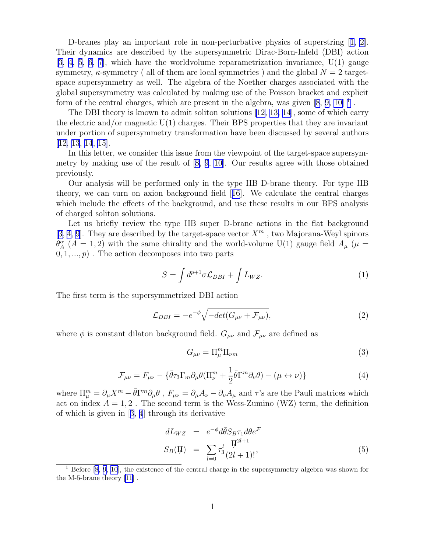<span id="page-1-0"></span>D-branes play an important role in non-perturbative physics of superstring [\[1](#page-10-0), [2](#page-10-0)]. Their dynamics are described by the supersymmetric Dirac-Born-Infeld (DBI) action [[3, 4](#page-10-0), [5](#page-10-0), [6, 7](#page-10-0)], which have the worldvolume reparametrization invariance, U(1) gauge symmetry,  $\kappa$ -symmetry ( all of them are local symmetries ) and the global  $N = 2$  targetspace supersymmetry as well. The algebra of the Noether charges associated with the global supersymmetry was calculated by making use of the Poisson bracket and explicit formof the central charges, which are present in the algebra, was given  $[8, 9, 10]$  $[8, 9, 10]$ <sup>1</sup>.

The DBI theory is known to admit soliton solutions [\[12](#page-10-0), [13, 14](#page-10-0)], some of which carry the electric and/or magnetic  $U(1)$  charges. Their BPS properties that they are invariant under portion of supersymmetry transformation have been discussed by several authors [[12, 13](#page-10-0), [14](#page-10-0), [15](#page-10-0)].

In this letter, we consider this issue from the viewpoint of the target-space supersymmetry by making use of the result of[[8, 9](#page-10-0), [10\]](#page-10-0). Our results agree with those obtained previously.

Our analysis will be performed only in the type IIB D-brane theory. For type IIB theory, we can turn on axion background field[[16](#page-10-0)]. We calculate the central charges which include the effects of the background, and use these results in our BPS analysis of charged soliton solutions.

Let us briefly review the type IIB super D-brane actions in the flat background [[3, 4, 9](#page-10-0)]. They are described by the target-space vector  $X^m$ , two Majorana-Weyl spinors  $\theta_A^{\alpha}$  (A = 1, 2) with the same chirality and the world-volume U(1) gauge field  $A_{\mu}$  ( $\mu$  =  $(0, 1, \ldots, p)$ . The action decomposes into two parts

$$
S = \int d^{p+1}\sigma \mathcal{L}_{DBI} + \int L_{WZ}.
$$
 (1)

The first term is the supersymmetrized DBI action

$$
\mathcal{L}_{DBI} = -e^{-\phi} \sqrt{-det(G_{\mu\nu} + \mathcal{F}_{\mu\nu})},\tag{2}
$$

where  $\phi$  is constant dilaton background field.  $G_{\mu\nu}$  and  $\mathcal{F}_{\mu\nu}$  are defined as

$$
G_{\mu\nu} = \Pi_{\mu}^{m} \Pi_{\nu m} \tag{3}
$$

$$
\mathcal{F}_{\mu\nu} = F_{\mu\nu} - \{\bar{\theta}\tau_3 \Gamma_m \partial_\mu \theta (\Pi^m_\nu + \frac{1}{2} \bar{\theta} \Gamma^m \partial_\nu \theta) - (\mu \leftrightarrow \nu) \}
$$
(4)

where  $\Pi_{\mu}^{m} = \partial_{\mu}X^{m} - \bar{\theta}\Gamma_{\mu}^{m}\partial_{\mu}\theta$ ,  $F_{\mu\nu} = \partial_{\mu}A_{\nu} - \partial_{\nu}A_{\mu}$  and  $\tau$ 's are the Pauli matrices which act on index  $A = 1, 2$ . The second term is the Wess-Zumino (WZ) term, the definition of which is given in[[3](#page-10-0), [4](#page-10-0)] through its derivative

$$
dL_{WZ} = e^{-\phi} d\bar{\theta} S_B \tau_1 d\theta e^{\mathcal{F}}
$$
  

$$
S_B(\Pi) = \sum_{l=0} \tau_3^l \frac{\Pi^{2l+1}}{(2l+1)!},
$$
 (5)

<sup>&</sup>lt;sup>1</sup> Before [\[8](#page-10-0), [9, 10\]](#page-10-0), the existence of the central charge in the supersymmetry algebra was shown for the M-5-brane theory [\[11](#page-10-0)] .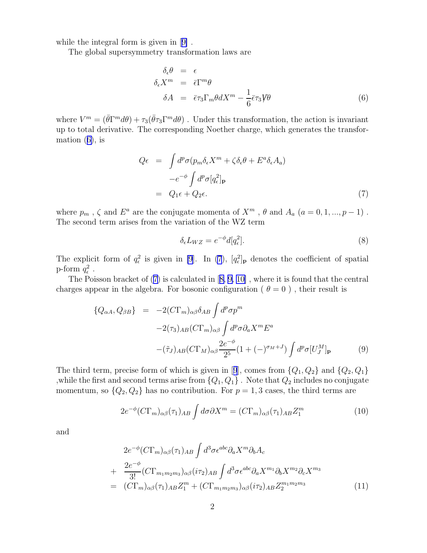<span id="page-2-0"></span>while the integral form is given in[[9\]](#page-10-0) .

The global supersymmetry transformation laws are

$$
\delta_{\epsilon} \theta = \epsilon
$$
\n
$$
\delta_{\epsilon} X^{m} = \bar{\epsilon} \Gamma^{m} \theta
$$
\n
$$
\delta A = \bar{\epsilon} \tau_{3} \Gamma_{m} \theta dX^{m} - \frac{1}{6} \bar{\epsilon} \tau_{3} \mathbf{V} \theta
$$
\n(6)

where  $V^m = (\bar{\theta}\Gamma^m d\theta) + \tau_3(\bar{\theta}\tau_3 \Gamma^m d\theta)$ . Under this transformation, the action is invariant up to total derivative. The corresponding Noether charge, which generates the transformation  $(6)$ , is

$$
Q\epsilon = \int d^p \sigma (p_m \delta_{\epsilon} X^m + \zeta \delta_{\epsilon} \theta + E^a \delta_{\epsilon} A_a)
$$
  

$$
-e^{-\phi} \int d^p \sigma [q_{\epsilon}^2]_{\mathbf{p}}
$$
  

$$
= Q_1 \epsilon + Q_2 \epsilon.
$$
 (7)

where  $p_m$  ,  $\zeta$  and  $E^a$  are the conjugate momenta of  $X^m$  ,  $\theta$  and  $A_a$   $(a = 0, 1, ..., p - 1)$ . The second term arises from the variation of the WZ term

$$
\delta_{\epsilon} L_{WZ} = e^{-\phi} d[q_{\epsilon}^2]. \tag{8}
$$

The explicit form of  $q_{\epsilon}^2$  is given in [\[9](#page-10-0)]. In (7),  $[q_{\epsilon}^2]_{\textbf{p}}$  denotes the coefficient of spatial p-form  $q_{\epsilon}^2$ .

The Poisson bracket of (7) is calculated in[[8, 9, 10\]](#page-10-0) , where it is found that the central charges appear in the algebra. For bosonic configuration (  $\theta = 0$ ), their result is

$$
\{Q_{\alpha A}, Q_{\beta B}\} = -2(C\Gamma_m)_{\alpha\beta}\delta_{AB} \int d^p \sigma p^m
$$
  

$$
-2(\tau_3)_{AB}(C\Gamma_m)_{\alpha\beta} \int d^p \sigma \partial_a X^m E^a
$$
  

$$
-(\tilde{\tau}_J)_{AB}(C\Gamma_M)_{\alpha\beta} \frac{2e^{-\phi}}{2^5} (1+(-)^{\sigma_M+J}) \int d^p \sigma [U^M_J]_{\mathbf{p}}
$$
(9)

Thethird term, precise form of which is given in [[9](#page-10-0)], comes from  $\{Q_1, Q_2\}$  and  $\{Q_2, Q_1\}$ , while the first and second terms arise from  $\{Q_1, Q_1\}$ . Note that  $Q_2$  includes no conjugate momentum, so  $\{Q_2, Q_2\}$  has no contribution. For  $p = 1, 3$  cases, the third terms are

$$
2e^{-\phi}(C\Gamma_m)_{\alpha\beta}(\tau_1)_{AB} \int d\sigma \partial X^m = (C\Gamma_m)_{\alpha\beta}(\tau_1)_{AB} Z_1^m \tag{10}
$$

and

$$
2e^{-\phi}(C\Gamma_m)_{\alpha\beta}(\tau_1)_{AB} \int d^3\sigma \epsilon^{abc} \partial_a X^m \partial_b A_c
$$
  
+ 
$$
\frac{2e^{-\phi}}{3!} (C\Gamma_{m_1 m_2 m_3})_{\alpha\beta} (i\tau_2)_{AB} \int d^3\sigma \epsilon^{abc} \partial_a X^{m_1} \partial_b X^{m_2} \partial_c X^{m_3}
$$
  
= 
$$
(C\Gamma_m)_{\alpha\beta}(\tau_1)_{AB} Z_1^m + (C\Gamma_{m_1 m_2 m_3})_{\alpha\beta} (i\tau_2)_{AB} Z_2^{m_1 m_2 m_3}
$$
(11)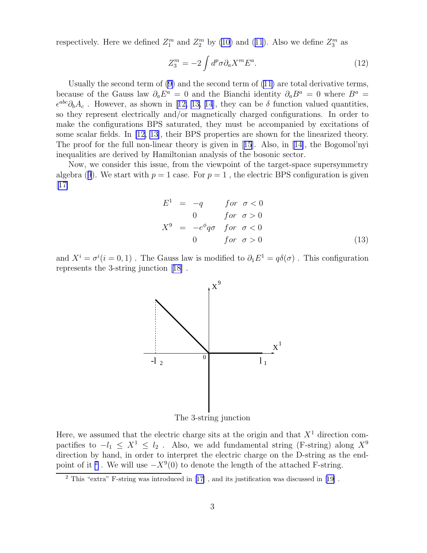<span id="page-3-0"></span>respectively.Here we defined  $Z_1^m$  and  $Z_2^m$  by [\(10\)](#page-2-0) and ([11](#page-2-0)). Also we define  $Z_3^m$  as

$$
Z_3^m = -2 \int d^p \sigma \partial_a X^m E^a. \tag{12}
$$

Usually the second term of [\(9\)](#page-2-0) and the second term of [\(11\)](#page-2-0) are total derivative terms, because of the Gauss law  $\partial_a E^a = 0$  and the Bianchi identity  $\partial_a B^a = 0$  where  $B^a =$  $\epsilon^{abc}\partial_bA_c$ .However, as shown in [[12, 13, 14](#page-10-0)], they can be  $\delta$  function valued quantities, so they represent electrically and/or magnetically charged configurations. In order to make the configurations BPS saturated, they must be accompanied by excitations of some scalar fields. In [\[12, 13\]](#page-10-0), their BPS properties are shown for the linearized theory. The proof for the full non-linear theory is given in[[15](#page-10-0)]. Also, in[[14\]](#page-10-0), the Bogomol'nyi inequalities are derived by Hamiltonian analysis of the bosonic sector.

Now, we consider this issue, from the viewpoint of the target-space supersymmetry algebra([9](#page-2-0)). We start with  $p = 1$  case. For  $p = 1$ , the electric BPS configuration is given  $|17|$ 

$$
E1 = -q \tfor \t\sigma < 0
$$
  
\n
$$
0 \tfor \t\sigma > 0
$$
  
\n
$$
X9 = -e\phiq\sigma \tfor \t\sigma < 0
$$
  
\n
$$
0 \tfor \t\sigma > 0
$$
\n(13)

and  $X^i = \sigma^i(i = 0, 1)$ . The Gauss law is modified to  $\partial_1 E^1 = q \delta(\sigma)$ . This configuration represents the 3-string junction[[18\]](#page-10-0) .



The 3-string junction

Here, we assumed that the electric charge sits at the origin and that  $X<sup>1</sup>$  direction compactifies to  $-l_1 \leq X^1 \leq l_2$ . Also, we add fundamental string (F-string) along  $X^9$ direction by hand, in order to interpret the electric charge on the D-string as the endpoint of it<sup>2</sup>. We will use  $-X<sup>9</sup>(0)$  to denote the length of the attached F-string.

<sup>2</sup> This "extra" F-string was introduced in[[17\]](#page-10-0) , and its justification was discussed in[[19\]](#page-10-0) .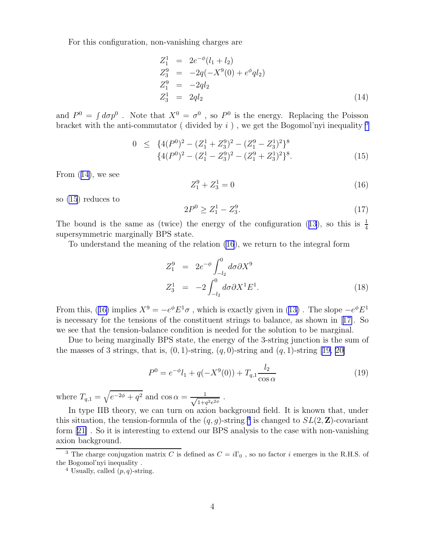For this configuration, non-vanishing charges are

$$
Z_1^1 = 2e^{-\phi}(l_1 + l_2)
$$
  
\n
$$
Z_3^9 = -2q(-X^9(0) + e^{\phi}ql_2)
$$
  
\n
$$
Z_1^9 = -2ql_2
$$
  
\n
$$
Z_3^1 = 2ql_2
$$
\n(14)

and  $P^0 = \int d\sigma p^0$ . Note that  $X^0 = \sigma^0$ , so  $P^0$  is the energy. Replacing the Poisson bracket with the anti-commutator (divided by  $i$ ), we get the Bogomol'nyi inequality  $3$ 

$$
0 \leq \{4(P^0)^2 - (Z_1^1 + Z_3^9)^2 - (Z_1^9 - Z_3^1)^2\}^8
$$
  

$$
\{4(P^0)^2 - (Z_1^1 - Z_3^9)^2 - (Z_1^9 + Z_3^1)^2\}^8.
$$
 (15)

From (14), we see

$$
Z_1^9 + Z_3^1 = 0 \tag{16}
$$

so (15) reduces to

$$
2P^0 \ge Z_1^1 - Z_3^9. \tag{17}
$$

Thebound is the same as (twice) the energy of the configuration ([13](#page-3-0)), so this is  $\frac{1}{4}$ supersymmetric marginally BPS state.

To understand the meaning of the relation (16), we return to the integral form

$$
Z_1^9 = 2e^{-\phi} \int_{-l_2}^0 d\sigma \partial X^9
$$
  
\n
$$
Z_3^1 = -2 \int_{-l_2}^0 d\sigma \partial X^1 E^1.
$$
\n(18)

Fromthis, (16) implies  $X^9 = -e^{\phi} E^1 \sigma$ , which is exactly given in ([13\)](#page-3-0). The slope  $-e^{\phi} E^1$ is necessary for the tensions of the constituent strings to balance, as shown in[[17\]](#page-10-0). So we see that the tension-balance condition is needed for the solution to be marginal.

Due to being marginally BPS state, the energy of the 3-string junction is the sum of the masses of 3 strings, that is,  $(0, 1)$ -string,  $(q, 0)$ -string and  $(q, 1)$ -string [\[19, 20\]](#page-10-0)

$$
P^{0} = e^{-\phi}l_{1} + q(-X^{9}(0)) + T_{q,1}\frac{l_{2}}{\cos\alpha}
$$
\n(19)

where  $T_{q,1} = \sqrt{e^{-2\phi} + q^2}$  and  $\cos \alpha = \frac{1}{\sqrt{1+\alpha}}$  $1+q^2e^{2\phi}$ .

In type IIB theory, we can turn on axion background field. It is known that, under this situation, the tension-formula of the  $(q, g)$ -string <sup>4</sup> is changed to  $SL(2, \mathbb{Z})$ -covariant form[[21\]](#page-10-0) . So it is interesting to extend our BPS analysis to the case with non-vanishing axion background.

<sup>&</sup>lt;sup>3</sup> The charge conjugation matrix C is defined as  $C = i\Gamma_0$ , so no factor i emerges in the R.H.S. of the Bogomol'nyi inequality .

<sup>&</sup>lt;sup>4</sup> Usually, called  $(p, q)$ -string.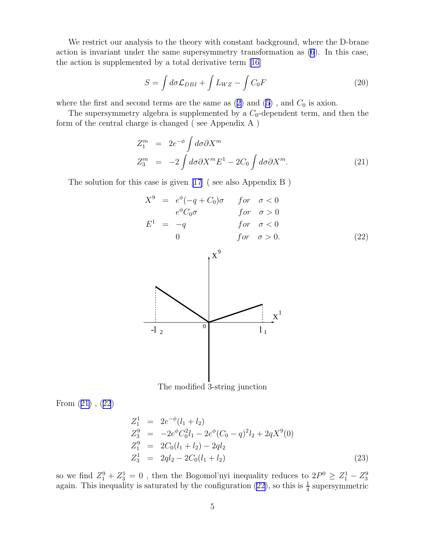<span id="page-5-0"></span>We restrict our analysis to the theory with constant background, where the D-brane action is invariant under the same supersymmetry transformation as [\(6](#page-2-0)). In this case, the action is supplemented by a total derivative term [\[16](#page-10-0)]

$$
S = \int d\sigma \mathcal{L}_{DBI} + \int L_{WZ} - \int C_0 F \tag{20}
$$

wherethe first and second terms are the same as  $(2)$  $(2)$  and  $(5)$ , and  $C_0$  is axion.

The supersymmetry algebra is supplemented by a  $C_0$ -dependent term, and then the form of the central charge is changed ( see Appendix A )

$$
Z_1^m = 2e^{-\phi} \int d\sigma \partial X^m
$$
  
\n
$$
Z_3^m = -2 \int d\sigma \partial X^m E^1 - 2C_0 \int d\sigma \partial X^m.
$$
\n(21)

The solution for this case is given [\[17](#page-10-0)] ( see also Appendix B )

$$
X^{9} = e^{\phi}(-q + C_{0})\sigma \quad for \quad \sigma < 0
$$
  

$$
e^{\phi}C_{0}\sigma \quad for \quad \sigma > 0
$$
  

$$
E^{1} = -q \quad for \quad \sigma < 0
$$
  

$$
0 \quad for \quad \sigma > 0.
$$
 (22)



The modified 3-string junction

From (21) , (22)

$$
Z_1^1 = 2e^{-\phi}(l_1 + l_2)
$$
  
\n
$$
Z_3^9 = -2e^{\phi}C_0^2l_1 - 2e^{\phi}(C_0 - q)^2l_2 + 2qX^9(0)
$$
  
\n
$$
Z_1^9 = 2C_0(l_1 + l_2) - 2ql_2
$$
  
\n
$$
Z_3^1 = 2ql_2 - 2C_0(l_1 + l_2)
$$
\n(23)

so we find  $Z_1^9 + Z_3^1 = 0$ , then the Bogomol'nyi inequality reduces to  $2P^0 \ge Z_1^1 - Z_3^9$  again. This inequality is saturated by the configuration (22), so this is  $\frac{1}{4}$  supersymmetric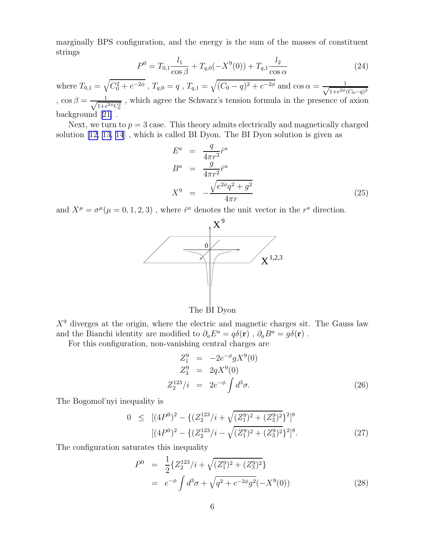<span id="page-6-0"></span>marginally BPS configuration, and the energy is the sum of the masses of constituent strings

$$
P^{0} = T_{0,1} \frac{l_{1}}{\cos \beta} + T_{q,0}(-X^{9}(0)) + T_{q,1} \frac{l_{2}}{\cos \alpha}
$$
 (24)

where  $T_{0,1} = \sqrt{C_0^2 + e^{-2\phi}}$ ,  $T_{q,0} = q$ ,  $T_{q,1} = \sqrt{(C_0 - q)^2 + e^{-2\phi}}$  and  $\cos \alpha = \frac{1}{\sqrt{1 + e^{2\phi}}}$  $1 + e^{2\phi} (C_0 - q)^2$ ,  $\cos \beta = \frac{1}{\sqrt{1+e^{\beta}}}$  $\frac{1}{1+e^{2\phi}C_0^2}$ , which agree the Schwarz's tension formula in the presence of axion background[[21\]](#page-10-0) .

Next, we turn to  $p = 3$  case. This theory admits electrically and magnetically charged solution [\[12, 13, 14](#page-10-0)] , which is called BI Dyon. The BI Dyon solution is given as

$$
E^{a} = \frac{q}{4\pi r^{2}} \hat{r}^{a}
$$
  
\n
$$
B^{a} = \frac{g}{4\pi r^{2}} \hat{r}^{a}
$$
  
\n
$$
X^{9} = -\frac{\sqrt{e^{2\phi}q^{2} + g^{2}}}{4\pi r}
$$
\n(25)

and  $X^{\mu} = \sigma^{\mu}(\mu = 0, 1, 2, 3)$ , where  $\hat{r}^a$  denotes the unit vector in the  $r^a$  direction.



The BI Dyon

 $X<sup>9</sup>$  diverges at the origin, where the electric and magnetic charges sit. The Gauss law and the Bianchi identity are modified to  $\partial_a E^a = q \delta(\mathbf{r})$ ,  $\partial_a B^a = g \delta(\mathbf{r})$ .

For this configuration, non-vanishing central charges are

$$
Z_1^9 = -2e^{-\phi} g X^9(0)
$$
  
\n
$$
Z_3^9 = 2qX^9(0)
$$
  
\n
$$
Z_2^{123}/i = 2e^{-\phi} \int d^3 \sigma.
$$
\n(26)

The Bogomol'nyi inequality is

$$
0 \leq [(4P^0)^2 - \{ (Z_2^{123}/i + \sqrt{(Z_1^9)^2 + (Z_3^9)^2} \}^2]^8
$$
  

$$
[(4P^0)^2 - \{ (Z_2^{123}/i - \sqrt{(Z_1^9)^2 + (Z_3^9)^2} \}^2]^8.
$$
 (27)

The configuration saturates this inequality

$$
P^{0} = \frac{1}{2} \{ Z_{2}^{123} / i + \sqrt{(Z_{1}^{9})^{2} + (Z_{3}^{9})^{2}} \}
$$
  
=  $e^{-\phi} \int d^{3} \sigma + \sqrt{q^{2} + e^{-2\phi} g^{2}} (-X^{9}(0))$  (28)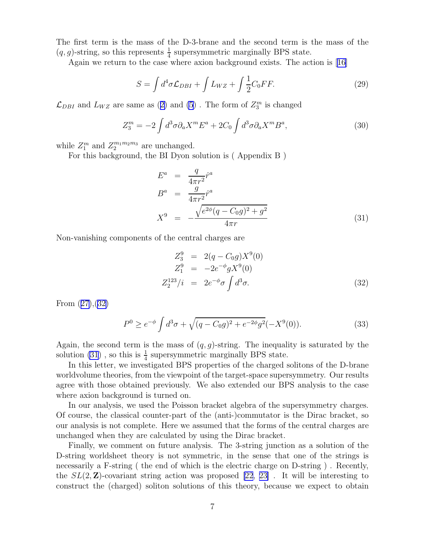<span id="page-7-0"></span>The first term is the mass of the D-3-brane and the second term is the mass of the  $(q, g)$ -string, so this represents  $\frac{1}{4}$  supersymmetric marginally BPS state.

Again we return to the case where axion background exists. The action is[[16\]](#page-10-0)

$$
S = \int d^4 \sigma \mathcal{L}_{DBI} + \int L_{WZ} + \int \frac{1}{2} C_0 FF. \tag{29}
$$

 $\mathcal{L}_{DBI}$ and  $L_{WZ}$  are same as ([2\)](#page-1-0) and [\(5](#page-1-0)). The form of  $Z_3^m$  is changed

$$
Z_3^m = -2 \int d^3 \sigma \partial_a X^m E^a + 2C_0 \int d^3 \sigma \partial_a X^m B^a, \qquad (30)
$$

while  $Z_1^m$  and  $Z_2^{m_1m_2m_3}$  are unchanged.

For this background, the BI Dyon solution is ( Appendix B )

$$
E^{a} = \frac{q}{4\pi r^{2}} \hat{r}^{a}
$$
  
\n
$$
B^{a} = \frac{g}{4\pi r^{2}} \hat{r}^{a}
$$
  
\n
$$
X^{9} = -\frac{\sqrt{e^{2\phi}(q - C_{0}g)^{2} + g^{2}}}{4\pi r}
$$
\n(31)

Non-vanishing components of the central charges are

$$
Z_3^9 = 2(q - C_0 g) X^9(0)
$$
  
\n
$$
Z_1^9 = -2e^{-\phi} g X^9(0)
$$
  
\n
$$
Z_2^{123}/i = 2e^{-\phi} \sigma \int d^3 \sigma.
$$
\n(32)

From([27\)](#page-6-0),(32)

$$
P^{0} \ge e^{-\phi} \int d^{3}\sigma + \sqrt{(q - C_{0}g)^{2} + e^{-2\phi}g^{2}} (-X^{9}(0)). \tag{33}
$$

Again, the second term is the mass of  $(q, g)$ -string. The inequality is saturated by the solution (31), so this is  $\frac{1}{4}$  supersymmetric marginally BPS state.

In this letter, we investigated BPS properties of the charged solitons of the D-brane worldvolume theories, from the viewpoint of the target-space supersymmetry. Our results agree with those obtained previously. We also extended our BPS analysis to the case where axion background is turned on.

In our analysis, we used the Poisson bracket algebra of the supersymmetry charges. Of course, the classical counter-part of the (anti-)commutator is the Dirac bracket, so our analysis is not complete. Here we assumed that the forms of the central charges are unchanged when they are calculated by using the Dirac bracket.

Finally, we comment on future analysis. The 3-string junction as a solution of the D-string worldsheet theory is not symmetric, in the sense that one of the strings is necessarily a F-string ( the end of which is the electric charge on D-string ) . Recently, the  $SL(2, \mathbb{Z})$ -covariant string action was proposed [\[22](#page-10-0), [23\]](#page-10-0). It will be interesting to construct the (charged) soliton solutions of this theory, because we expect to obtain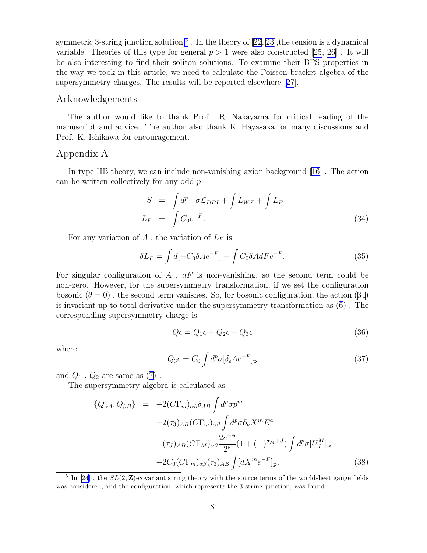<span id="page-8-0"></span>symmetric3-string junction solution  $^5$  . In the theory of  $[22, 23]$  $[22, 23]$  $[22, 23]$  $[22, 23]$  $[22, 23]$ , the tension is a dynamical variable. Theories of this type for general  $p > 1$  were also constructed [\[25,](#page-10-0) [26\]](#page-11-0). It will be also interesting to find their soliton solutions. To examine their BPS properties in the way we took in this article, we need to calculate the Poisson bracket algebra of the supersymmetry charges. The results will be reported elsewhere[[27](#page-11-0)].

#### Acknowledgements

The author would like to thank Prof. R. Nakayama for critical reading of the manuscript and advice. The author also thank K. Hayasaka for many discussions and Prof. K. Ishikawa for encouragement.

## Appendix A

In type IIB theory, we can include non-vanishing axion background [\[16\]](#page-10-0) . The action can be written collectively for any odd p

$$
S = \int d^{p+1} \sigma \mathcal{L}_{DBI} + \int L_{WZ} + \int L_F
$$
  

$$
L_F = \int C_0 e^{-F}.
$$
 (34)

For any variation of  $A$ , the variation of  $L_F$  is

$$
\delta L_F = \int d[-C_0 \delta A e^{-F}] - \int C_0 \delta A dFe^{-F}.
$$
\n(35)

For singular configuration of  $A$ ,  $dF$  is non-vanishing, so the second term could be non-zero. However, for the supersymmetry transformation, if we set the configuration bosonic  $(\theta = 0)$ , the second term vanishes. So, for bosonic configuration, the action (34) is invariant up to total derivative under the supersymmetry transformation as [\(6](#page-2-0)) . The corresponding supersymmetry charge is

$$
Q\epsilon = Q_1\epsilon + Q_2\epsilon + Q_3\epsilon \tag{36}
$$

where

$$
Q_3 \epsilon = C_0 \int d^p \sigma [\delta_\epsilon A e^{-F}]_\mathbf{p} \tag{37}
$$

and $Q_1$ ,  $Q_2$  are same as  $(7)$  $(7)$ .

The supersymmetry algebra is calculated as

$$
\{Q_{\alpha A}, Q_{\beta B}\} = -2(C\Gamma_m)_{\alpha\beta}\delta_{AB} \int d^p \sigma p^m
$$
  
\n
$$
-2(\tau_3)_{AB}(C\Gamma_m)_{\alpha\beta} \int d^p \sigma \partial_a X^m E^a
$$
  
\n
$$
-(\tilde{\tau}_J)_{AB}(C\Gamma_M)_{\alpha\beta} \frac{2e^{-\phi}}{2^5} (1 + (-)^{\sigma_M + J}) \int d^p \sigma [U^M_J]_{\mathbf{p}}
$$
  
\n
$$
-2C_0(C\Gamma_m)_{\alpha\beta}(\tau_3)_{AB} \int [dX^m e^{-F}]_{\mathbf{p}}.
$$
 (38)

<sup>&</sup>lt;sup>5</sup> In [\[24](#page-10-0)], the  $SL(2, \mathbb{Z})$ -covariant string theory with the source terms of the worldsheet gauge fields was considered, and the configuration, which represents the 3-string junction, was found.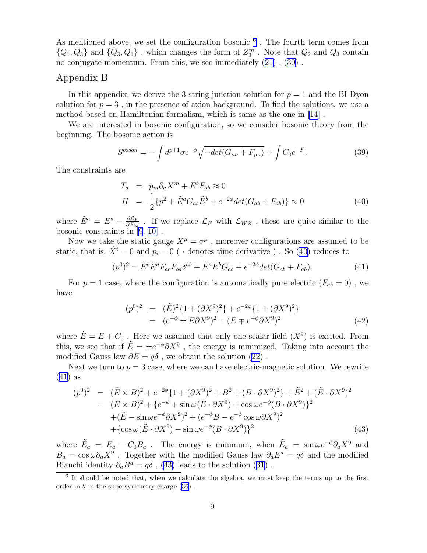As mentioned above, we set the configuration bosonic  $<sup>6</sup>$ . The fourth term comes from</sup>  $\{Q_1, Q_3\}$  and  $\{Q_3, Q_1\}$ , which changes the form of  $Z_3^m$ . Note that  $Q_2$  and  $Q_3$  contain no conjugate momentum. From this, we see immediately([21\)](#page-5-0) ,([30\)](#page-7-0) .

## Appendix B

In this appendix, we derive the 3-string junction solution for  $p = 1$  and the BI Dyon solution for  $p = 3$ , in the presence of axion background. To find the solutions, we use a method based on Hamiltonian formalism, which is same as the one in [\[14](#page-10-0)] .

We are interested in bosonic configuration, so we consider bosonic theory from the beginning. The bosonic action is

$$
S^{boson} = -\int d^{p+1}\sigma e^{-\phi} \sqrt{-\det(G_{\mu\nu} + F_{\mu\nu})} + \int C_0 e^{-F}.
$$
 (39)

The constraints are

$$
T_a = p_m \partial_a X^m + \tilde{E}^b F_{ab} \approx 0
$$
  
\n
$$
H = \frac{1}{2} \{ p^2 + \tilde{E}^a G_{ab} \tilde{E}^b + e^{-2\phi} det(G_{ab} + F_{ab}) \} \approx 0
$$
\n(40)

where  $\tilde{E}^a = E^a - \frac{\partial \mathcal{L}_F}{\partial F_{0a}}$  $\frac{\partial L_F}{\partial F_{0a}}$ . If we replace  $\mathcal{L}_F$  with  $\mathcal{L}_{WZ}$ , these are quite similar to the bosonic constraints in [\[9, 10\]](#page-10-0) .

Now we take the static gauge  $X^{\mu} = \sigma^{\mu}$ , moreover configurations are assumed to be static, that is,  $\dot{X}^i = 0$  and  $p_i = 0$  (  $\cdot$  denotes time derivative ). So (40) reduces to

$$
(p^{0})^{2} = \tilde{E}^{c} \tilde{E}^{d} F_{ac} F_{bd} \delta^{ab} + \tilde{E}^{a} \tilde{E}^{b} G_{ab} + e^{-2\phi} det(G_{ab} + F_{ab}). \tag{41}
$$

For  $p = 1$  case, where the configuration is automatically pure electric  $(F_{ab} = 0)$ , we have

$$
(p^0)^2 = (\tilde{E})^2 \{ 1 + (\partial X^9)^2 \} + e^{-2\phi} \{ 1 + (\partial X^9)^2 \}
$$
  
= 
$$
(e^{-\phi} \pm \tilde{E} \partial X^9)^2 + (\tilde{E} \mp e^{-\phi} \partial X^9)^2
$$
 (42)

where  $\tilde{E} = E + C_0$ . Here we assumed that only one scalar field  $(X<sup>9</sup>)$  is excited. From this, we see that if  $\tilde{E} = \pm e^{-\phi} \partial X^9$ , the energy is minimized. Taking into account the modified Gauss law  $\partial E = q\delta$ , we obtain the solution [\(22\)](#page-5-0).

Next we turn to  $p = 3$  case, where we can have electric-magnetic solution. We rewrite (41) as

$$
(p^{0})^{2} = (\tilde{E} \times B)^{2} + e^{-2\phi} \{ 1 + (\partial X^{9})^{2} + B^{2} + (B \cdot \partial X^{9})^{2} \} + \tilde{E}^{2} + (\tilde{E} \cdot \partial X^{9})^{2}
$$
  
= (\tilde{E} \times B)^{2} + \{ e^{-\phi} + \sin \omega (\tilde{E} \cdot \partial X^{9}) + \cos \omega e^{-\phi} (B \cdot \partial X^{9}) \}^{2}  
+ (\tilde{E} - \sin \omega e^{-\phi} \partial X^{9})^{2} + (e^{-\phi} B - e^{-\phi} \cos \omega \partial X^{9})^{2}  
+ \{\cos \omega (\tilde{E} \cdot \partial X^{9}) - \sin \omega e^{-\phi} (B \cdot \partial X^{9}) \}^{2} (43)

where  $\tilde{E}_a = E_a - C_0 B_a$ . The energy is minimum, when  $\tilde{E}_a = \sin \omega e^{-\phi} \partial_a X^9$  and  $B_a = \cos \omega \partial_a X^9$ . Together with the modified Gauss law  $\partial_a E^a = q \delta$  and the modified Bianchiidentity  $\partial_a B^a = g \delta$ , (43) leads to the solution ([31](#page-7-0)).

<sup>&</sup>lt;sup>6</sup> It should be noted that, when we calculate the algebra, we must keep the terms up to the first orderin  $\theta$  in the supersymmetry charge ([36\)](#page-8-0).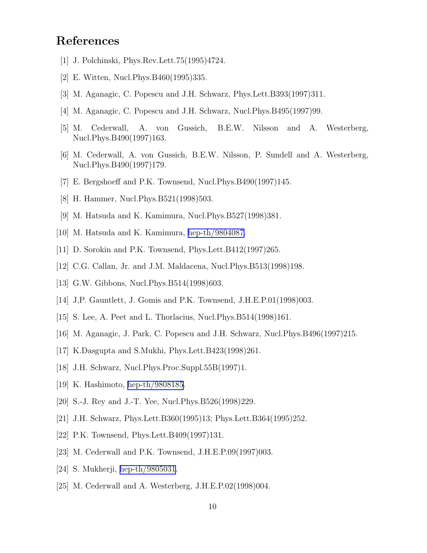# <span id="page-10-0"></span>References

- [1] J. Polchinski, Phys.Rev.Lett.75(1995)4724.
- [2] E. Witten, Nucl.Phys.B460(1995)335.
- [3] M. Aganagic, C. Popescu and J.H. Schwarz, Phys.Lett.B393(1997)311.
- [4] M. Aganagic, C. Popescu and J.H. Schwarz, Nucl.Phys.B495(1997)99.
- [5] M. Cederwall, A. von Gussich, B.E.W. Nilsson and A. Westerberg, Nucl.Phys.B490(1997)163.
- [6] M. Cederwall, A. von Gussich, B.E.W. Nilsson, P. Sundell and A. Westerberg, Nucl.Phys.B490(1997)179.
- [7] E. Bergshoeff and P.K. Townsend, Nucl. Phys. B490(1997)145.
- [8] H. Hammer, Nucl. Phys. B521(1998) 503.
- [9] M. Hatsuda and K. Kamimura, Nucl.Phys.B527(1998)381.
- [10] M. Hatsuda and K. Kamimura, [hep-th/9804087.](http://arxiv.org/abs/hep-th/9804087)
- [11] D. Sorokin and P.K. Townsend, Phys.Lett.B412(1997)265.
- [12] C.G. Callan, Jr. and J.M. Maldacena, Nucl.Phys.B513(1998)198.
- [13] G.W. Gibbons, Nucl. Phys. B514(1998)603.
- [14] J,P. Gauntlett, J. Gomis and P.K. Townsend, J.H.E.P.01(1998)003.
- [15] S. Lee, A. Peet and L. Thorlacius, Nucl.Phys.B514(1998)161.
- [16] M. Aganagic, J. Park, C. Popescu and J.H. Schwarz, Nucl.Phys.B496(1997)215.
- [17] K.Dasgupta and S.Mukhi, Phys.Lett.B423(1998)261.
- [18] J.H. Schwarz, Nucl.Phys.Proc.Suppl.55B(1997)1.
- [19] K. Hashimoto, [hep-th/9808185](http://arxiv.org/abs/hep-th/9808185).
- [20] S.-J. Rey and J.-T. Yee, Nucl.Phys.B526(1998)229.
- [21] J.H. Schwarz, Phys.Lett.B360(1995)13; Phys.Lett.B364(1995)252.
- [22] P.K. Townsend, Phys.Lett.B409(1997)131.
- [23] M. Cederwall and P.K. Townsend, J.H.E.P.09(1997)003.
- [24] S. Mukherji, [hep-th/9805031.](http://arxiv.org/abs/hep-th/9805031)
- [25] M. Cederwall and A. Westerberg, J.H.E.P.02(1998)004.